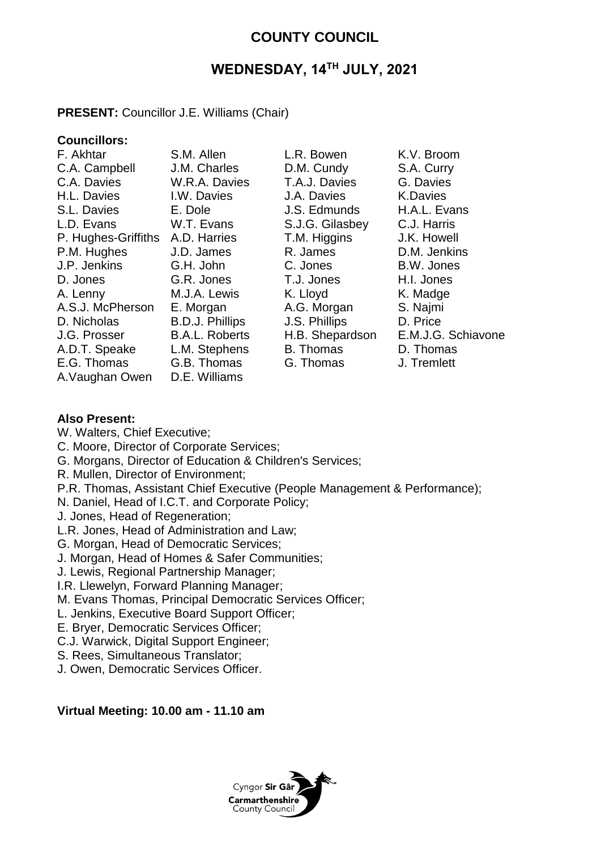## **COUNTY COUNCIL**

# **WEDNESDAY, 14TH JULY, 2021**

## **PRESENT:** Councillor J.E. Williams (Chair)

#### **Councillors:**

| F. Akhtar                        | S.M. Allen            | L.R. Bowen       | K.V. Broom         |
|----------------------------------|-----------------------|------------------|--------------------|
| C.A. Campbell                    | J.M. Charles          | D.M. Cundy       | S.A. Curry         |
| C.A. Davies                      | W.R.A. Davies         | T.A.J. Davies    | G. Davies          |
| H.L. Davies                      | I.W. Davies           | J.A. Davies      | K.Davies           |
| S.L. Davies                      | E. Dole               | J.S. Edmunds     | H.A.L. Evans       |
| L.D. Evans                       | W.T. Evans            | S.J.G. Gilasbey  | C.J. Harris        |
| P. Hughes-Griffiths A.D. Harries |                       | T.M. Higgins     | J.K. Howell        |
| P.M. Hughes                      | J.D. James            | R. James         | D.M. Jenkins       |
| J.P. Jenkins                     | G.H. John             | C. Jones         | B.W. Jones         |
| D. Jones                         | G.R. Jones            | T.J. Jones       | H.I. Jones         |
| A. Lenny                         | M.J.A. Lewis          | K. Lloyd         | K. Madge           |
| A.S.J. McPherson                 | E. Morgan             | A.G. Morgan      | S. Najmi           |
| D. Nicholas                      | B.D.J. Phillips       | J.S. Phillips    | D. Price           |
| J.G. Prosser                     | <b>B.A.L. Roberts</b> | H.B. Shepardson  | E.M.J.G. Schiavone |
| A.D.T. Speake                    | L.M. Stephens         | <b>B.</b> Thomas | D. Thomas          |
| E.G. Thomas                      | G.B. Thomas           | G. Thomas        | J. Tremlett        |
| A. Vaughan Owen                  | D.E. Williams         |                  |                    |

#### **Also Present:**

- W. Walters, Chief Executive;
- C. Moore, Director of Corporate Services;
- G. Morgans, Director of Education & Children's Services;
- R. Mullen, Director of Environment;
- P.R. Thomas, Assistant Chief Executive (People Management & Performance);
- N. Daniel, Head of I.C.T. and Corporate Policy;
- J. Jones, Head of Regeneration;
- L.R. Jones, Head of Administration and Law;
- G. Morgan, Head of Democratic Services;
- J. Morgan, Head of Homes & Safer Communities;
- J. Lewis, Regional Partnership Manager;
- I.R. Llewelyn, Forward Planning Manager;
- M. Evans Thomas, Principal Democratic Services Officer;
- L. Jenkins, Executive Board Support Officer;
- E. Bryer, Democratic Services Officer;
- C.J. Warwick, Digital Support Engineer;
- S. Rees, Simultaneous Translator;
- J. Owen, Democratic Services Officer.

## **Virtual Meeting: 10.00 am - 11.10 am**

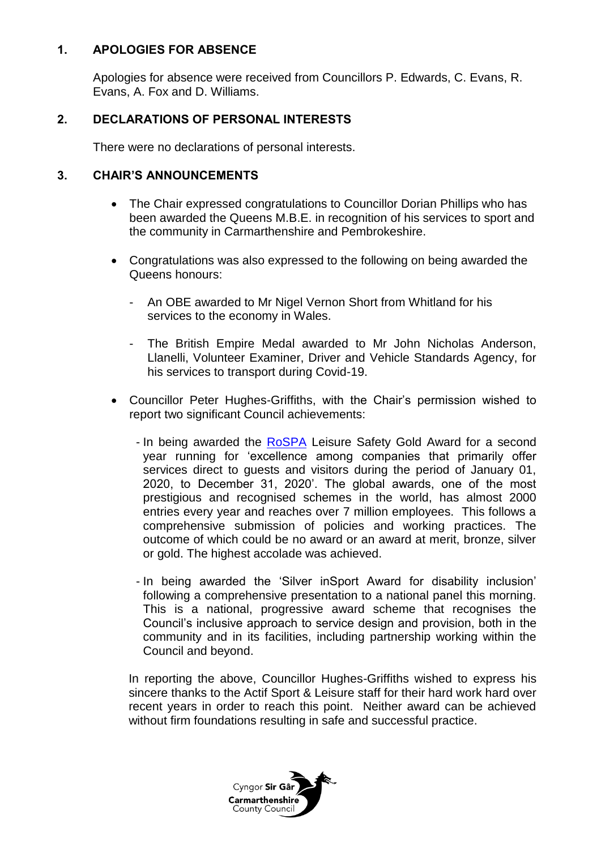## **1. APOLOGIES FOR ABSENCE**

Apologies for absence were received from Councillors P. Edwards, C. Evans, R. Evans, A. Fox and D. Williams.

## **2. DECLARATIONS OF PERSONAL INTERESTS**

There were no declarations of personal interests.

## **3. CHAIR'S ANNOUNCEMENTS**

- The Chair expressed congratulations to Councillor Dorian Phillips who has been awarded the Queens M.B.E. in recognition of his services to sport and the community in Carmarthenshire and Pembrokeshire.
- Congratulations was also expressed to the following on being awarded the Queens honours:
	- An OBE awarded to Mr Nigel Vernon Short from Whitland for his services to the economy in Wales.
	- The British Empire Medal awarded to Mr John Nicholas Anderson, Llanelli, Volunteer Examiner, Driver and Vehicle Standards Agency, for his services to transport during Covid-19.
- Councillor Peter Hughes-Griffiths, with the Chair's permission wished to report two significant Council achievements:
	- In being awarded the [RoSPA](https://www.rospa.com/) Leisure Safety Gold Award for a second year running for 'excellence among companies that primarily offer services direct to guests and visitors during the period of January 01, 2020, to December 31, 2020'. The global awards, one of the most prestigious and recognised schemes in the world, has almost 2000 entries every year and reaches over 7 million employees. This follows a comprehensive submission of policies and working practices. The outcome of which could be no award or an award at merit, bronze, silver or gold. The highest accolade was achieved.
	- In being awarded the 'Silver inSport Award for disability inclusion' following a comprehensive presentation to a national panel this morning. This is a national, progressive award scheme that recognises the Council's inclusive approach to service design and provision, both in the community and in its facilities, including partnership working within the Council and beyond.

In reporting the above, Councillor Hughes-Griffiths wished to express his sincere thanks to the Actif Sport & Leisure staff for their hard work hard over recent years in order to reach this point. Neither award can be achieved without firm foundations resulting in safe and successful practice.

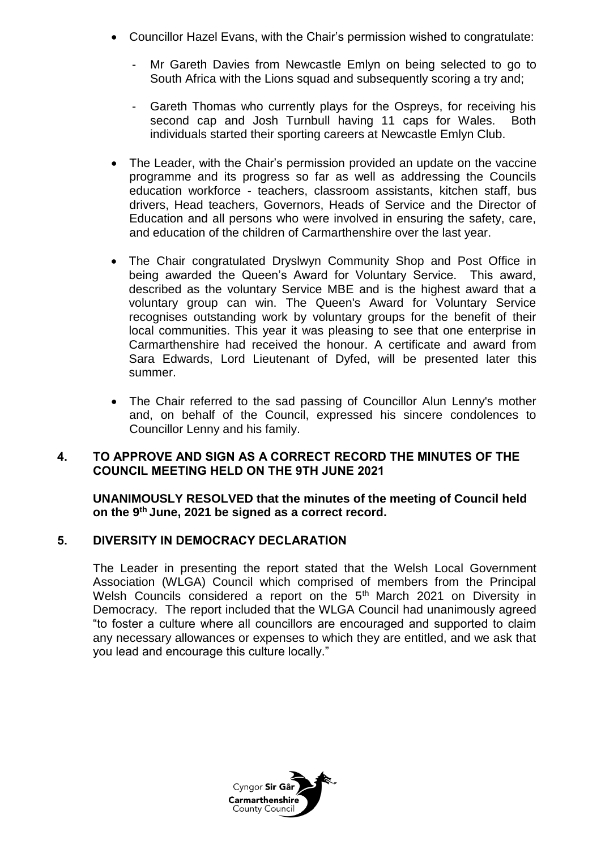- Councillor Hazel Evans, with the Chair's permission wished to congratulate:
	- Mr Gareth Davies from Newcastle Emlyn on being selected to go to South Africa with the Lions squad and subsequently scoring a try and;
	- Gareth Thomas who currently plays for the Ospreys, for receiving his second cap and Josh Turnbull having 11 caps for Wales. Both individuals started their sporting careers at Newcastle Emlyn Club.
- The Leader, with the Chair's permission provided an update on the vaccine programme and its progress so far as well as addressing the Councils education workforce - teachers, classroom assistants, kitchen staff, bus drivers, Head teachers, Governors, Heads of Service and the Director of Education and all persons who were involved in ensuring the safety, care, and education of the children of Carmarthenshire over the last year.
- The Chair congratulated Dryslwyn Community Shop and Post Office in being awarded the Queen's Award for Voluntary Service. This award, described as the voluntary Service MBE and is the highest award that a voluntary group can win. The Queen's Award for Voluntary Service recognises outstanding work by voluntary groups for the benefit of their local communities. This year it was pleasing to see that one enterprise in Carmarthenshire had received the honour. A certificate and award from Sara Edwards, Lord Lieutenant of Dyfed, will be presented later this summer.
- The Chair referred to the sad passing of Councillor Alun Lenny's mother and, on behalf of the Council, expressed his sincere condolences to Councillor Lenny and his family.

## **4. TO APPROVE AND SIGN AS A CORRECT RECORD THE MINUTES OF THE COUNCIL MEETING HELD ON THE 9TH JUNE 2021**

## **UNANIMOUSLY RESOLVED that the minutes of the meeting of Council held on the 9th June, 2021 be signed as a correct record.**

## **5. DIVERSITY IN DEMOCRACY DECLARATION**

The Leader in presenting the report stated that the Welsh Local Government Association (WLGA) Council which comprised of members from the Principal Welsh Councils considered a report on the 5<sup>th</sup> March 2021 on Diversity in Democracy. The report included that the WLGA Council had unanimously agreed "to foster a culture where all councillors are encouraged and supported to claim any necessary allowances or expenses to which they are entitled, and we ask that you lead and encourage this culture locally."

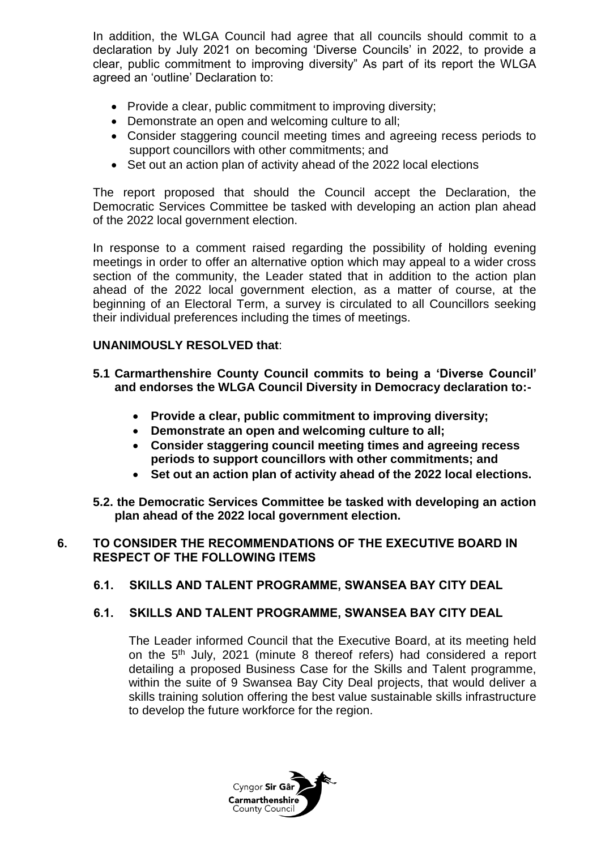In addition, the WLGA Council had agree that all councils should commit to a declaration by July 2021 on becoming 'Diverse Councils' in 2022, to provide a clear, public commitment to improving diversity" As part of its report the WLGA agreed an 'outline' Declaration to:

- Provide a clear, public commitment to improving diversity:
- Demonstrate an open and welcoming culture to all;
- Consider staggering council meeting times and agreeing recess periods to support councillors with other commitments; and
- Set out an action plan of activity ahead of the 2022 local elections

The report proposed that should the Council accept the Declaration, the Democratic Services Committee be tasked with developing an action plan ahead of the 2022 local government election.

In response to a comment raised regarding the possibility of holding evening meetings in order to offer an alternative option which may appeal to a wider cross section of the community, the Leader stated that in addition to the action plan ahead of the 2022 local government election, as a matter of course, at the beginning of an Electoral Term, a survey is circulated to all Councillors seeking their individual preferences including the times of meetings.

## **UNANIMOUSLY RESOLVED that**:

- **5.1 Carmarthenshire County Council commits to being a 'Diverse Council' and endorses the WLGA Council Diversity in Democracy declaration to:-**
	- **Provide a clear, public commitment to improving diversity;**
	- **Demonstrate an open and welcoming culture to all;**
	- **Consider staggering council meeting times and agreeing recess periods to support councillors with other commitments; and**
	- **Set out an action plan of activity ahead of the 2022 local elections.**

**5.2. the Democratic Services Committee be tasked with developing an action plan ahead of the 2022 local government election.**

## **6. TO CONSIDER THE RECOMMENDATIONS OF THE EXECUTIVE BOARD IN RESPECT OF THE FOLLOWING ITEMS**

## **6.1. SKILLS AND TALENT PROGRAMME, SWANSEA BAY CITY DEAL**

## **6.1. SKILLS AND TALENT PROGRAMME, SWANSEA BAY CITY DEAL**

The Leader informed Council that the Executive Board, at its meeting held on the 5th July, 2021 (minute 8 thereof refers) had considered a report detailing a proposed Business Case for the Skills and Talent programme, within the suite of 9 Swansea Bay City Deal projects, that would deliver a skills training solution offering the best value sustainable skills infrastructure to develop the future workforce for the region.

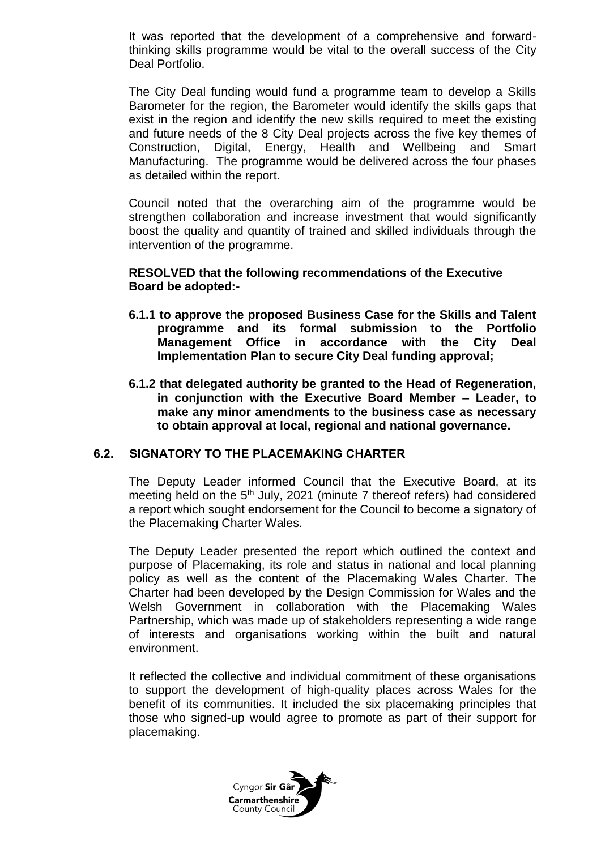It was reported that the development of a comprehensive and forwardthinking skills programme would be vital to the overall success of the City Deal Portfolio.

The City Deal funding would fund a programme team to develop a Skills Barometer for the region, the Barometer would identify the skills gaps that exist in the region and identify the new skills required to meet the existing and future needs of the 8 City Deal projects across the five key themes of Construction, Digital, Energy, Health and Wellbeing and Smart Manufacturing. The programme would be delivered across the four phases as detailed within the report.

Council noted that the overarching aim of the programme would be strengthen collaboration and increase investment that would significantly boost the quality and quantity of trained and skilled individuals through the intervention of the programme.

## **RESOLVED that the following recommendations of the Executive Board be adopted:-**

- **6.1.1 to approve the proposed Business Case for the Skills and Talent programme and its formal submission to the Portfolio Management Office in accordance with the City Deal Implementation Plan to secure City Deal funding approval;**
- **6.1.2 that delegated authority be granted to the Head of Regeneration, in conjunction with the Executive Board Member – Leader, to make any minor amendments to the business case as necessary to obtain approval at local, regional and national governance.**

## **6.2. SIGNATORY TO THE PLACEMAKING CHARTER**

The Deputy Leader informed Council that the Executive Board, at its meeting held on the 5<sup>th</sup> July, 2021 (minute 7 thereof refers) had considered a report which sought endorsement for the Council to become a signatory of the Placemaking Charter Wales.

The Deputy Leader presented the report which outlined the context and purpose of Placemaking, its role and status in national and local planning policy as well as the content of the Placemaking Wales Charter. The Charter had been developed by the Design Commission for Wales and the Welsh Government in collaboration with the Placemaking Wales Partnership, which was made up of stakeholders representing a wide range of interests and organisations working within the built and natural environment.

It reflected the collective and individual commitment of these organisations to support the development of high-quality places across Wales for the benefit of its communities. It included the six placemaking principles that those who signed-up would agree to promote as part of their support for placemaking.

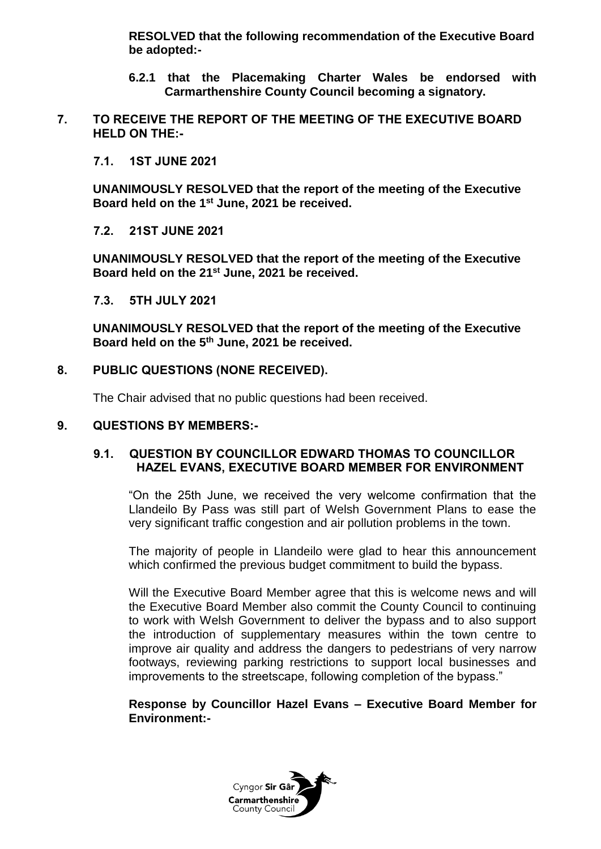**RESOLVED that the following recommendation of the Executive Board be adopted:-**

- **6.2.1 that the Placemaking Charter Wales be endorsed with Carmarthenshire County Council becoming a signatory.**
- **7. TO RECEIVE THE REPORT OF THE MEETING OF THE EXECUTIVE BOARD HELD ON THE:-**

#### **7.1. 1ST JUNE 2021**

**UNANIMOUSLY RESOLVED that the report of the meeting of the Executive Board held on the 1st June, 2021 be received.**

#### **7.2. 21ST JUNE 2021**

**UNANIMOUSLY RESOLVED that the report of the meeting of the Executive Board held on the 21st June, 2021 be received.**

#### **7.3. 5TH JULY 2021**

**UNANIMOUSLY RESOLVED that the report of the meeting of the Executive Board held on the 5th June, 2021 be received.**

## **8. PUBLIC QUESTIONS (NONE RECEIVED).**

The Chair advised that no public questions had been received.

#### **9. QUESTIONS BY MEMBERS:-**

#### **9.1. QUESTION BY COUNCILLOR EDWARD THOMAS TO COUNCILLOR HAZEL EVANS, EXECUTIVE BOARD MEMBER FOR ENVIRONMENT**

"On the 25th June, we received the very welcome confirmation that the Llandeilo By Pass was still part of Welsh Government Plans to ease the very significant traffic congestion and air pollution problems in the town.

The majority of people in Llandeilo were glad to hear this announcement which confirmed the previous budget commitment to build the bypass.

Will the Executive Board Member agree that this is welcome news and will the Executive Board Member also commit the County Council to continuing to work with Welsh Government to deliver the bypass and to also support the introduction of supplementary measures within the town centre to improve air quality and address the dangers to pedestrians of very narrow footways, reviewing parking restrictions to support local businesses and improvements to the streetscape, following completion of the bypass."

#### **Response by Councillor Hazel Evans – Executive Board Member for Environment:-**

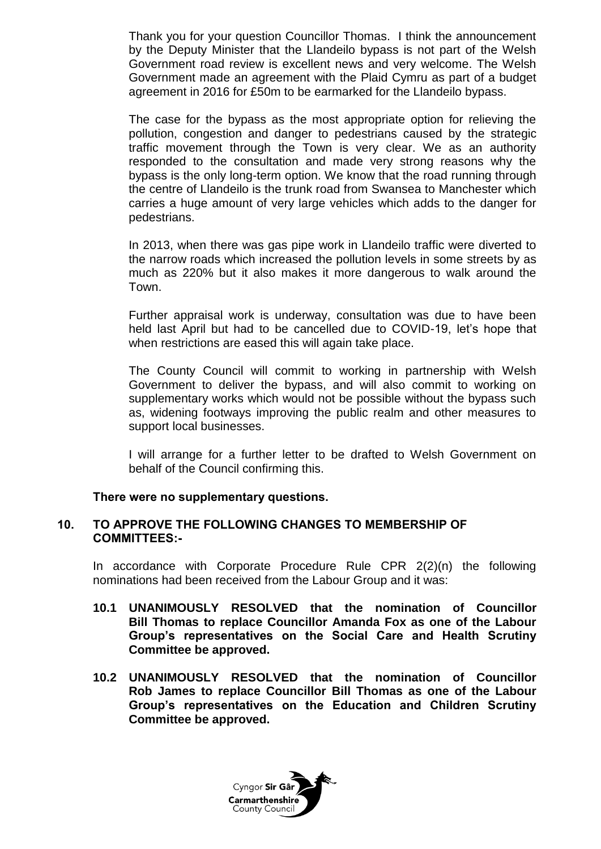Thank you for your question Councillor Thomas. I think the announcement by the Deputy Minister that the Llandeilo bypass is not part of the Welsh Government road review is excellent news and very welcome. The Welsh Government made an agreement with the Plaid Cymru as part of a budget agreement in 2016 for £50m to be earmarked for the Llandeilo bypass.

The case for the bypass as the most appropriate option for relieving the pollution, congestion and danger to pedestrians caused by the strategic traffic movement through the Town is very clear. We as an authority responded to the consultation and made very strong reasons why the bypass is the only long-term option. We know that the road running through the centre of Llandeilo is the trunk road from Swansea to Manchester which carries a huge amount of very large vehicles which adds to the danger for pedestrians.

In 2013, when there was gas pipe work in Llandeilo traffic were diverted to the narrow roads which increased the pollution levels in some streets by as much as 220% but it also makes it more dangerous to walk around the Town.

Further appraisal work is underway, consultation was due to have been held last April but had to be cancelled due to COVID-19, let's hope that when restrictions are eased this will again take place.

The County Council will commit to working in partnership with Welsh Government to deliver the bypass, and will also commit to working on supplementary works which would not be possible without the bypass such as, widening footways improving the public realm and other measures to support local businesses.

I will arrange for a further letter to be drafted to Welsh Government on behalf of the Council confirming this.

## **There were no supplementary questions.**

#### **10. TO APPROVE THE FOLLOWING CHANGES TO MEMBERSHIP OF COMMITTEES:-**

In accordance with Corporate Procedure Rule CPR 2(2)(n) the following nominations had been received from the Labour Group and it was:

- **10.1 UNANIMOUSLY RESOLVED that the nomination of Councillor Bill Thomas to replace Councillor Amanda Fox as one of the Labour Group's representatives on the Social Care and Health Scrutiny Committee be approved.**
- **10.2 UNANIMOUSLY RESOLVED that the nomination of Councillor Rob James to replace Councillor Bill Thomas as one of the Labour Group's representatives on the Education and Children Scrutiny Committee be approved.**